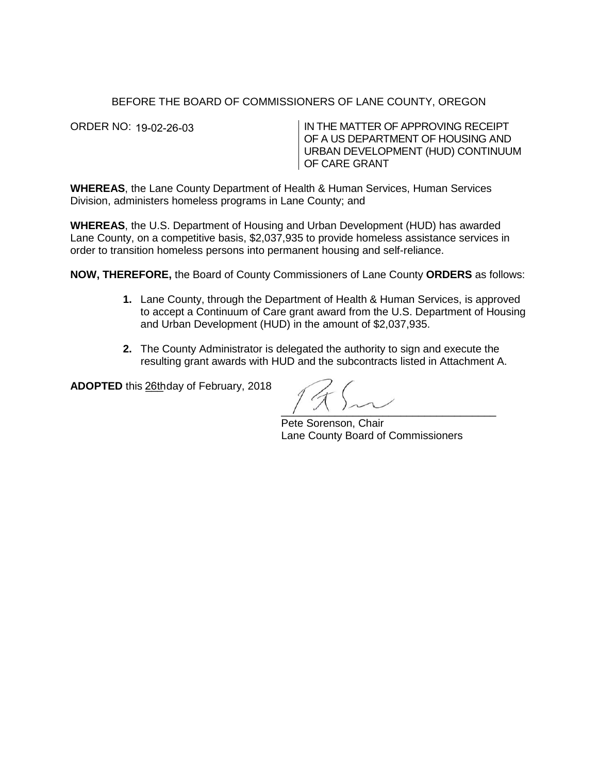## BEFORE THE BOARD OF COMMISSIONERS OF LANE COUNTY, OREGON

ORDER NO: 19-02-26-03

IN THE MATTER OF APPROVING RECEIPT OF A US DEPARTMENT OF HOUSING AND URBAN DEVELOPMENT (HUD) CONTINUUM OF CARE GRANT

**WHEREAS**, the Lane County Department of Health & Human Services, Human Services Division, administers homeless programs in Lane County; and

**WHEREAS**, the U.S. Department of Housing and Urban Development (HUD) has awarded Lane County, on a competitive basis, \$2,037,935 to provide homeless assistance services in order to transition homeless persons into permanent housing and self-reliance.

**NOW, THEREFORE,** the Board of County Commissioners of Lane County **ORDERS** as follows:

- **1.** Lane County, through the Department of Health & Human Services, is approved to accept a Continuum of Care grant award from the U.S. Department of Housing and Urban Development (HUD) in the amount of \$2,037,935.
- **2.** The County Administrator is delegated the authority to sign and execute the resulting grant awards with HUD and the subcontracts listed in Attachment A.

ADOPTED this 26th day of February, 2018

 $\overline{\phantom{a}}$ 

Pete Sorenson, Chair Lane County Board of Commissioners